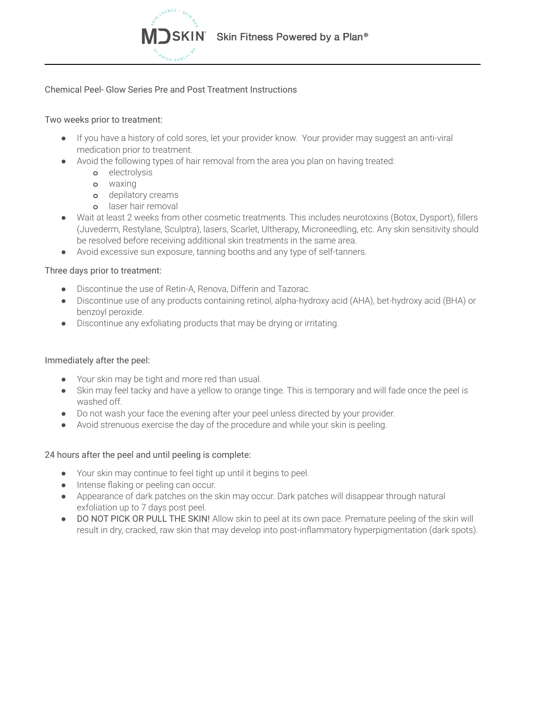

### Chemical Peel- Glow Series Pre and Post Treatment Instructions

# Two weeks prior to treatment:

- If you have a history of cold sores, let your provider know. Your provider may suggest an anti-viral medication prior to treatment.
- Avoid the following types of hair removal from the area you plan on having treated:
	- **o** electrolysis
		- **o** waxing
		- **o** depilatory creams
		- **o** laser hair removal
- Wait at least 2 weeks from other cosmetic treatments. This includes neurotoxins (Botox, Dysport), fillers (Juvederm, Restylane, Sculptra), lasers, Scarlet, Ultherapy, Microneedling, etc. Any skin sensitivity should be resolved before receiving additional skin treatments in the same area.
- Avoid excessive sun exposure, tanning booths and any type of self-tanners.

#### Three days prior to treatment:

- Discontinue the use of Retin-A, Renova, Differin and Tazorac.
- Discontinue use of any products containing retinol, alpha-hydroxy acid (AHA), bet-hydroxy acid (BHA) or benzoyl peroxide.
- Discontinue any exfoliating products that may be drying or irritating.

#### Immediately after the peel:

- Your skin may be tight and more red than usual.
- Skin may feel tacky and have a yellow to orange tinge. This is temporary and will fade once the peel is washed off.
- Do not wash your face the evening after your peel unless directed by your provider.
- Avoid strenuous exercise the day of the procedure and while your skin is peeling.

#### 24 hours after the peel and until peeling is complete:

- Your skin may continue to feel tight up until it begins to peel.
- Intense flaking or peeling can occur.
- Appearance of dark patches on the skin may occur. Dark patches will disappear through natural exfoliation up to 7 days post peel.
- DO NOT PICK OR PULL THE SKIN! Allow skin to peel at its own pace. Premature peeling of the skin will result in dry, cracked, raw skin that may develop into post-inflammatory hyperpigmentation (dark spots).